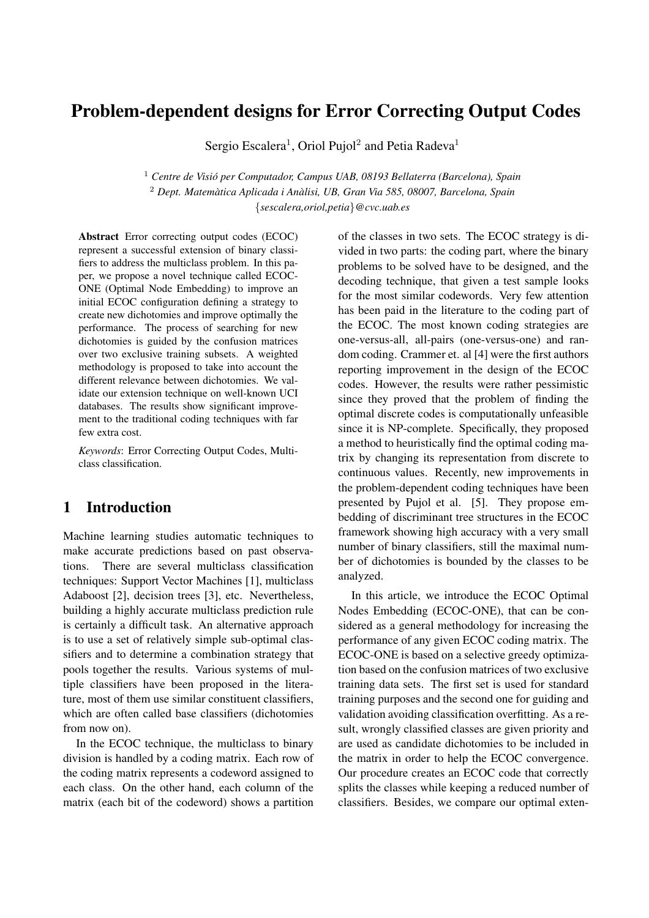# Problem-dependent designs for Error Correcting Output Codes

Sergio Escalera<sup>1</sup>, Oriol Pujol<sup>2</sup> and Petia Radeva<sup>1</sup>

<sup>1</sup> *Centre de Visio per Computador, Campus UAB, 08193 Bellaterra (Barcelona), Spain ´* <sup>2</sup> Dept. Matemàtica Aplicada i Anàlisi, UB, Gran Via 585, 08007, Barcelona, Spain {*sescalera,oriol,petia*}*@cvc.uab.es*

Abstract Error correcting output codes (ECOC) represent a successful extension of binary classifiers to address the multiclass problem. In this paper, we propose a novel technique called ECOC-ONE (Optimal Node Embedding) to improve an initial ECOC configuration defining a strategy to create new dichotomies and improve optimally the performance. The process of searching for new dichotomies is guided by the confusion matrices over two exclusive training subsets. A weighted methodology is proposed to take into account the different relevance between dichotomies. We validate our extension technique on well-known UCI databases. The results show significant improvement to the traditional coding techniques with far few extra cost.

*Keywords*: Error Correcting Output Codes, Multiclass classification.

## 1 Introduction

Machine learning studies automatic techniques to make accurate predictions based on past observations. There are several multiclass classification techniques: Support Vector Machines [1], multiclass Adaboost [2], decision trees [3], etc. Nevertheless, building a highly accurate multiclass prediction rule is certainly a difficult task. An alternative approach is to use a set of relatively simple sub-optimal classifiers and to determine a combination strategy that pools together the results. Various systems of multiple classifiers have been proposed in the literature, most of them use similar constituent classifiers, which are often called base classifiers (dichotomies from now on).

In the ECOC technique, the multiclass to binary division is handled by a coding matrix. Each row of the coding matrix represents a codeword assigned to each class. On the other hand, each column of the matrix (each bit of the codeword) shows a partition of the classes in two sets. The ECOC strategy is divided in two parts: the coding part, where the binary problems to be solved have to be designed, and the decoding technique, that given a test sample looks for the most similar codewords. Very few attention has been paid in the literature to the coding part of the ECOC. The most known coding strategies are one-versus-all, all-pairs (one-versus-one) and random coding. Crammer et. al [4] were the first authors reporting improvement in the design of the ECOC codes. However, the results were rather pessimistic since they proved that the problem of finding the optimal discrete codes is computationally unfeasible since it is NP-complete. Specifically, they proposed a method to heuristically find the optimal coding matrix by changing its representation from discrete to continuous values. Recently, new improvements in the problem-dependent coding techniques have been presented by Pujol et al. [5]. They propose embedding of discriminant tree structures in the ECOC framework showing high accuracy with a very small number of binary classifiers, still the maximal number of dichotomies is bounded by the classes to be analyzed.

In this article, we introduce the ECOC Optimal Nodes Embedding (ECOC-ONE), that can be considered as a general methodology for increasing the performance of any given ECOC coding matrix. The ECOC-ONE is based on a selective greedy optimization based on the confusion matrices of two exclusive training data sets. The first set is used for standard training purposes and the second one for guiding and validation avoiding classification overfitting. As a result, wrongly classified classes are given priority and are used as candidate dichotomies to be included in the matrix in order to help the ECOC convergence. Our procedure creates an ECOC code that correctly splits the classes while keeping a reduced number of classifiers. Besides, we compare our optimal exten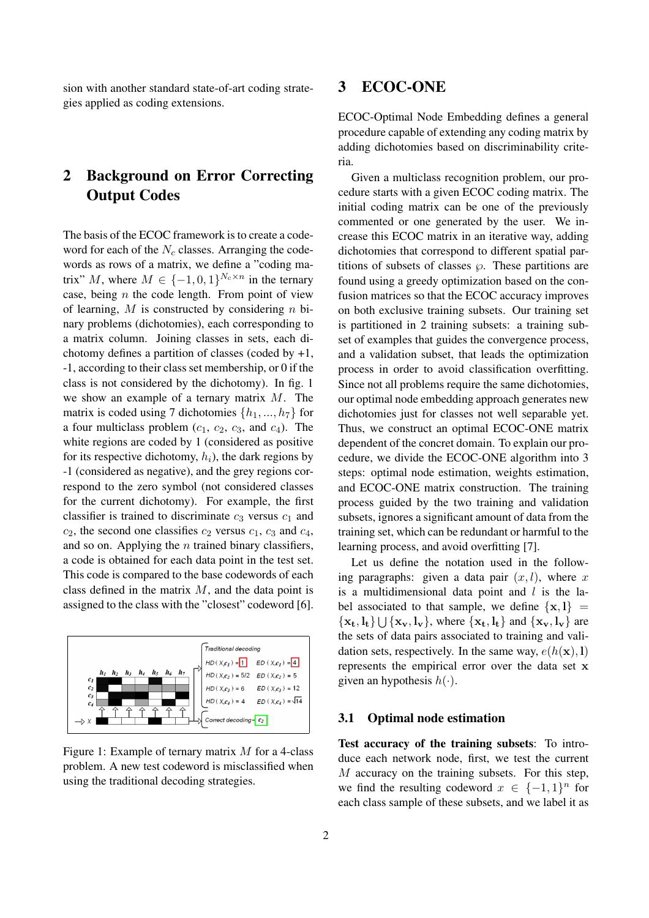sion with another standard state-of-art coding strategies applied as coding extensions.

## 2 Background on Error Correcting Output Codes

The basis of the ECOC framework is to create a codeword for each of the  $N_c$  classes. Arranging the codewords as rows of a matrix, we define a "coding matrix" M, where  $M \in \{-1,0,1\}^{N_c \times n}$  in the ternary case, being  $n$  the code length. From point of view of learning,  $M$  is constructed by considering  $n$  binary problems (dichotomies), each corresponding to a matrix column. Joining classes in sets, each dichotomy defines a partition of classes (coded by  $+1$ , -1, according to their class set membership, or 0 if the class is not considered by the dichotomy). In fig. 1 we show an example of a ternary matrix  $M$ . The matrix is coded using 7 dichotomies  $\{h_1, ..., h_7\}$  for a four multiclass problem  $(c_1, c_2, c_3,$  and  $c_4$ ). The white regions are coded by 1 (considered as positive for its respective dichotomy,  $h_i$ ), the dark regions by -1 (considered as negative), and the grey regions correspond to the zero symbol (not considered classes for the current dichotomy). For example, the first classifier is trained to discriminate  $c_3$  versus  $c_1$  and  $c_2$ , the second one classifies  $c_2$  versus  $c_1$ ,  $c_3$  and  $c_4$ , and so on. Applying the  $n$  trained binary classifiers, a code is obtained for each data point in the test set. This code is compared to the base codewords of each class defined in the matrix  $M$ , and the data point is assigned to the class with the "closest" codeword [6].



Figure 1: Example of ternary matrix  $M$  for a 4-class problem. A new test codeword is misclassified when using the traditional decoding strategies.

## 3 ECOC-ONE

ECOC-Optimal Node Embedding defines a general procedure capable of extending any coding matrix by adding dichotomies based on discriminability criteria.

Given a multiclass recognition problem, our procedure starts with a given ECOC coding matrix. The initial coding matrix can be one of the previously commented or one generated by the user. We increase this ECOC matrix in an iterative way, adding dichotomies that correspond to different spatial partitions of subsets of classes  $\wp$ . These partitions are found using a greedy optimization based on the confusion matrices so that the ECOC accuracy improves on both exclusive training subsets. Our training set is partitioned in 2 training subsets: a training subset of examples that guides the convergence process, and a validation subset, that leads the optimization process in order to avoid classification overfitting. Since not all problems require the same dichotomies, our optimal node embedding approach generates new dichotomies just for classes not well separable yet. Thus, we construct an optimal ECOC-ONE matrix dependent of the concret domain. To explain our procedure, we divide the ECOC-ONE algorithm into 3 steps: optimal node estimation, weights estimation, and ECOC-ONE matrix construction. The training process guided by the two training and validation subsets, ignores a significant amount of data from the training set, which can be redundant or harmful to the learning process, and avoid overfitting [7].

Let us define the notation used in the following paragraphs: given a data pair  $(x, l)$ , where x is a multidimensional data point and  $l$  is the label associated to that sample, we define  $\{x, l\}$  =  $\{x_t, l_t\} \cup \{x_v, l_v\}$ , where  $\{x_t, l_t\}$  and  $\{x_v, l_v\}$  are the sets of data pairs associated to training and validation sets, respectively. In the same way,  $e(h(\mathbf{x}), \mathbf{l})$ represents the empirical error over the data set x given an hypothesis  $h(\cdot)$ .

#### 3.1 Optimal node estimation

Test accuracy of the training subsets: To introduce each network node, first, we test the current M accuracy on the training subsets. For this step, we find the resulting codeword  $x \in \{-1,1\}^n$  for each class sample of these subsets, and we label it as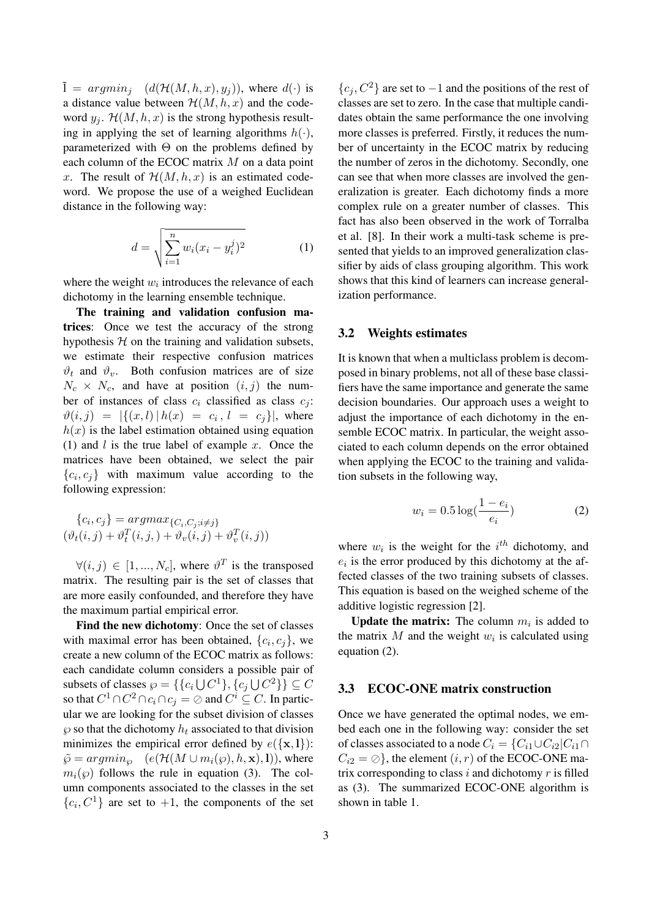$\tilde{I} = argmin_i \quad (d(\mathcal{H}(M, h, x), y_i)),$  where  $d(\cdot)$  is a distance value between  $\mathcal{H}(M, h, x)$  and the codeword  $y_i$ .  $\mathcal{H}(M, h, x)$  is the strong hypothesis resulting in applying the set of learning algorithms  $h(\cdot)$ , parameterized with  $\Theta$  on the problems defined by each column of the ECOC matrix  $M$  on a data point x. The result of  $\mathcal{H}(M, h, x)$  is an estimated codeword. We propose the use of a weighed Euclidean distance in the following way:

$$
d = \sqrt{\sum_{i=1}^{n} w_i (x_i - y_i^j)^2}
$$
 (1)

where the weight  $w_i$  introduces the relevance of each dichotomy in the learning ensemble technique.

The training and validation confusion matrices: Once we test the accuracy of the strong hypothesis  $H$  on the training and validation subsets, we estimate their respective confusion matrices  $\vartheta_t$  and  $\vartheta_v$ . Both confusion matrices are of size  $N_c \times N_c$ , and have at position  $(i, j)$  the number of instances of class  $c_i$  classified as class  $c_j$ :  $\vartheta(i,j) = |\{(x,l) | h(x) = c_i, l = c_j\}|$ , where  $h(x)$  is the label estimation obtained using equation (1) and  $l$  is the true label of example  $x$ . Once the matrices have been obtained, we select the pair  ${c_i, c_j}$  with maximum value according to the following expression:

$$
\{c_i, c_j\} = argmax\{c_i, c_j; i \neq j\}
$$

$$
(\vartheta_t(i, j) + \vartheta_t^T(i, j, ) + \vartheta_v(i, j) + \vartheta_v^T(i, j))
$$

 $\forall (i, j) \in [1, ..., N_c]$ , where  $\vartheta^T$  is the transposed matrix. The resulting pair is the set of classes that are more easily confounded, and therefore they have the maximum partial empirical error.

Find the new dichotomy: Once the set of classes with maximal error has been obtained,  $\{c_i, c_j\}$ , we create a new column of the ECOC matrix as follows: each candidate column considers a possible pair of subsets of classes  $\wp = \{\{c_i \cup C^1\}, \{c_j \cup C^2\}\} \subseteq C$ so that  $C^1 \cap C^2 \cap c_i \cap c_j = \oslash$  and  $C^i \subseteq C$ . In particular we are looking for the subset division of classes  $\wp$  so that the dichotomy  $h_t$  associated to that division minimizes the empirical error defined by  $e({\bf x}, {\bf l})$ :  $\tilde{\varphi} = argmin_{\varphi}$   $(e(\mathcal{H}(M \cup m_i(\varphi), h, \mathbf{x}), I))$ , where  $m_i(\varphi)$  follows the rule in equation (3). The column components associated to the classes in the set  ${c_i, C^1}$  are set to +1, the components of the set  ${c_i, C^2}$  are set to −1 and the positions of the rest of classes are set to zero. In the case that multiple candidates obtain the same performance the one involving more classes is preferred. Firstly, it reduces the number of uncertainty in the ECOC matrix by reducing the number of zeros in the dichotomy. Secondly, one can see that when more classes are involved the generalization is greater. Each dichotomy finds a more complex rule on a greater number of classes. This fact has also been observed in the work of Torralba et al. [8]. In their work a multi-task scheme is presented that yields to an improved generalization classifier by aids of class grouping algorithm. This work shows that this kind of learners can increase generalization performance.

#### 3.2 Weights estimates

It is known that when a multiclass problem is decomposed in binary problems, not all of these base classifiers have the same importance and generate the same decision boundaries. Our approach uses a weight to adjust the importance of each dichotomy in the ensemble ECOC matrix. In particular, the weight associated to each column depends on the error obtained when applying the ECOC to the training and validation subsets in the following way,

$$
w_i = 0.5 \log(\frac{1 - e_i}{e_i})
$$
\n<sup>(2)</sup>

where  $w_i$  is the weight for the  $i^{th}$  dichotomy, and  $e_i$  is the error produced by this dichotomy at the affected classes of the two training subsets of classes. This equation is based on the weighed scheme of the additive logistic regression [2].

Update the matrix: The column  $m_i$  is added to the matrix M and the weight  $w_i$  is calculated using equation (2).

#### 3.3 ECOC-ONE matrix construction

Once we have generated the optimal nodes, we embed each one in the following way: consider the set of classes associated to a node  $C_i = \{C_{i1} \cup C_{i2} | C_{i1} \cap C_{i2} \}$  $C_{i2} = \emptyset$ , the element  $(i, r)$  of the ECOC-ONE matrix corresponding to class i and dichotomy  $r$  is filled as (3). The summarized ECOC-ONE algorithm is shown in table 1.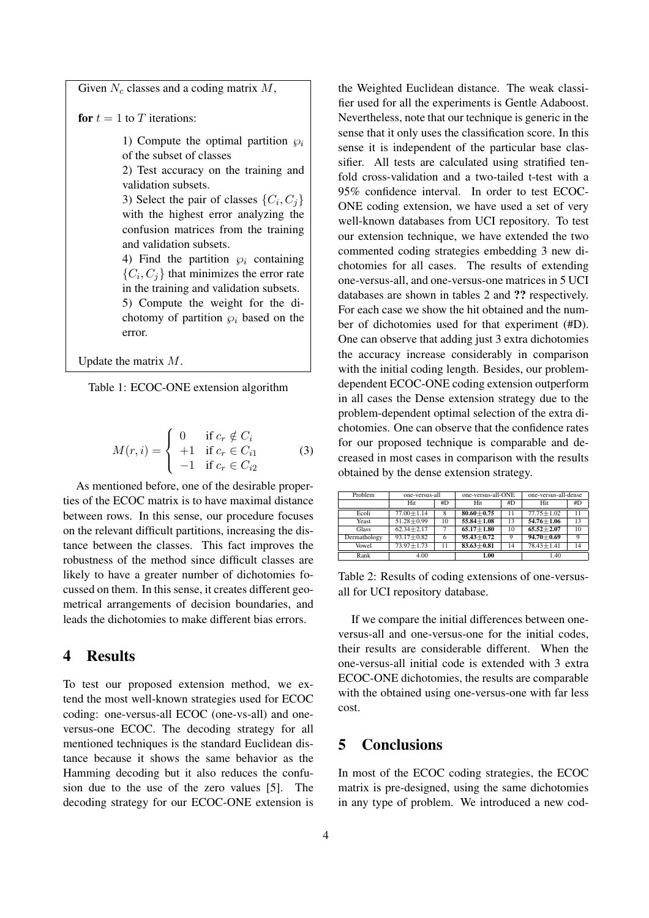Given  $N_c$  classes and a coding matrix  $M$ ,

for  $t = 1$  to T iterations:

1) Compute the optimal partition  $\mathcal{O}_i$ of the subset of classes

2) Test accuracy on the training and validation subsets.

3) Select the pair of classes  $\{C_i, C_j\}$ with the highest error analyzing the confusion matrices from the training and validation subsets.

4) Find the partition  $\varphi_i$  containing  $\{C_i, C_j\}$  that minimizes the error rate in the training and validation subsets. 5) Compute the weight for the dichotomy of partition  $\wp_i$  based on the error.

Update the matrix M.

Table 1: ECOC-ONE extension algorithm

$$
M(r, i) = \begin{cases} 0 & \text{if } c_r \notin C_i \\ +1 & \text{if } c_r \in C_{i1} \\ -1 & \text{if } c_r \in C_{i2} \end{cases}
$$
 (3)

As mentioned before, one of the desirable properties of the ECOC matrix is to have maximal distance between rows. In this sense, our procedure focuses on the relevant difficult partitions, increasing the distance between the classes. This fact improves the robustness of the method since difficult classes are likely to have a greater number of dichotomies focussed on them. In this sense, it creates different geometrical arrangements of decision boundaries, and leads the dichotomies to make different bias errors.

## 4 Results

To test our proposed extension method, we extend the most well-known strategies used for ECOC coding: one-versus-all ECOC (one-vs-all) and oneversus-one ECOC. The decoding strategy for all mentioned techniques is the standard Euclidean distance because it shows the same behavior as the Hamming decoding but it also reduces the confusion due to the use of the zero values [5]. The decoding strategy for our ECOC-ONE extension is the Weighted Euclidean distance. The weak classifier used for all the experiments is Gentle Adaboost. Nevertheless, note that our technique is generic in the sense that it only uses the classification score. In this sense it is independent of the particular base classifier. All tests are calculated using stratified tenfold cross-validation and a two-tailed t-test with a 95% confidence interval. In order to test ECOC-ONE coding extension, we have used a set of very well-known databases from UCI repository. To test our extension technique, we have extended the two commented coding strategies embedding 3 new dichotomies for all cases. The results of extending one-versus-all, and one-versus-one matrices in 5 UCI databases are shown in tables 2 and ?? respectively. For each case we show the hit obtained and the number of dichotomies used for that experiment (#D). One can observe that adding just 3 extra dichotomies the accuracy increase considerably in comparison with the initial coding length. Besides, our problemdependent ECOC-ONE coding extension outperform in all cases the Dense extension strategy due to the problem-dependent optimal selection of the extra dichotomies. One can observe that the confidence rates for our proposed technique is comparable and decreased in most cases in comparison with the results obtained by the dense extension strategy.

| Problem      | one-versus-all   |    | one-versus-all-ONE |       | one-versus-all-dense |    |
|--------------|------------------|----|--------------------|-------|----------------------|----|
|              | Hit              | #D | Hit                | # $D$ | Hit                  | #D |
| Ecoli        | $77.00 \pm 1.14$ |    | $80.60 + 0.75$     | 11    | $77.75 \pm 1.02$     |    |
| Yeast        | $51.28 + 0.99$   | 10 | $55.84 + 1.08$     | 13    | $54.76 + 1.06$       | 13 |
| Glass        | $62.34 + 2.17$   |    | $65.17 + 1.80$     | 10    | $65.52 + 2.07$       | 10 |
| Dermathology | $93.17 + 0.82$   | 6  | $95.43 + 0.72$     | 9     | $94.70 + 0.69$       | 9  |
| Vowel        | $73.97 + 1.73$   | 11 | $83.63 + 0.81$     | 14    | $78.43 + 1.41$       | 14 |
| Rank         | 4.00             |    | 1.00               |       | 1.40                 |    |

Table 2: Results of coding extensions of one-versusall for UCI repository database.

If we compare the initial differences between oneversus-all and one-versus-one for the initial codes, their results are considerable different. When the one-versus-all initial code is extended with 3 extra ECOC-ONE dichotomies, the results are comparable with the obtained using one-versus-one with far less cost.

## 5 Conclusions

In most of the ECOC coding strategies, the ECOC matrix is pre-designed, using the same dichotomies in any type of problem. We introduced a new cod-